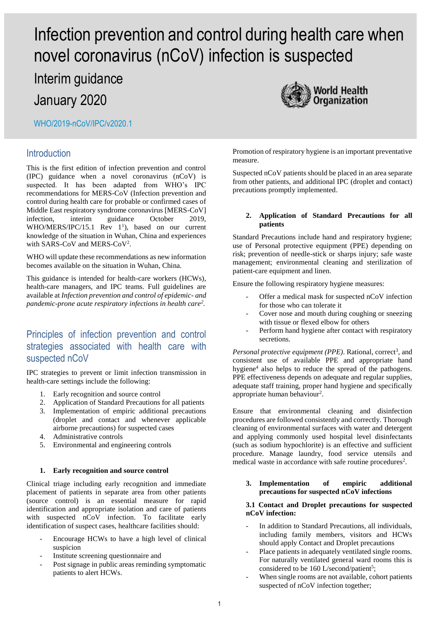# Infection prevention and control during health care when novel coronavirus (nCoV) infection is suspected

Interim guidance

January 2020

WHO/2019-nCoV/IPC/v2020.1

## **Introduction**

This is the first edition of infection prevention and control (IPC) guidance when a novel coronavirus (nCoV) is suspected. It has been adapted from WHO's IPC recommendations for MERS-CoV (Infection prevention and control during health care for probable or confirmed cases of Middle East respiratory syndrome coronavirus [MERS-CoV] infection, interim guidance October 2019,  $WHO/MERS/IPC/15.1$  Rev  $1^1$ ), based on our current knowledge of the situation in Wuhan, China and experiences with SARS-CoV and MERS-CoV<sup>2</sup>.

WHO will update these recommendations as new information becomes available on the situation in Wuhan, China.

This guidance is intended for health-care workers (HCWs), health-care managers, and IPC teams. Full guidelines are available at *Infection prevention and control of epidemic- and pandemic-prone acute respiratory infections in health care<sup>2</sup> .*

# Principles of infection prevention and control strategies associated with health care with suspected nCoV

IPC strategies to prevent or limit infection transmission in health-care settings include the following:

- 1. Early recognition and source control
- 2. Application of Standard Precautions for all patients
- 3. Implementation of empiric additional precautions (droplet and contact and whenever applicable airborne precautions) for suspected cases
- 4. Administrative controls
- 5. Environmental and engineering controls

## **1. Early recognition and source control**

Clinical triage including early recognition and immediate placement of patients in separate area from other patients (source control) is an essential measure for rapid identification and appropriate isolation and care of patients with suspected nCoV infection. To facilitate early identification of suspect cases, healthcare facilities should:

- Encourage HCWs to have a high level of clinical suspicion
- Institute screening questionnaire and
- Post signage in public areas reminding symptomatic patients to alert HCWs.

Promotion of respiratory hygiene is an important preventative measure.

Suspected nCoV patients should be placed in an area separate from other patients, and additional IPC (droplet and contact) precautions promptly implemented.

### **2. Application of Standard Precautions for all patients**

Standard Precautions include hand and respiratory hygiene; use of Personal protective equipment (PPE) depending on risk; prevention of needle-stick or sharps injury; safe waste management; environmental cleaning and sterilization of patient-care equipment and linen.

Ensure the following respiratory hygiene measures:

- Offer a medical mask for suspected nCoV infection for those who can tolerate it
- Cover nose and mouth during coughing or sneezing with tissue or flexed elbow for others
- Perform hand hygiene after contact with respiratory secretions.

Personal protective equipment (PPE). Rational, correct<sup>3</sup>, and consistent use of available PPE and appropriate hand hygiene<sup>4</sup> also helps to reduce the spread of the pathogens. PPE effectiveness depends on adequate and regular supplies, adequate staff training, proper hand hygiene and specifically appropriate human behaviour<sup>2</sup>.

Ensure that environmental cleaning and disinfection procedures are followed consistently and correctly. Thorough cleaning of environmental surfaces with water and detergent and applying commonly used hospital level disinfectants (such as sodium hypochlorite) is an effective and sufficient procedure. Manage laundry, food service utensils and medical waste in accordance with safe routine procedures<sup>2</sup>.

## **3. Implementation of empiric additional precautions for suspected nCoV infections**

#### **3.1 Contact and Droplet precautions for suspected nCoV infection:**

- In addition to Standard Precautions, all individuals, including family members, visitors and HCWs should apply Contact and Droplet precautions
- Place patients in adequately ventilated single rooms. For naturally ventilated general ward rooms this is considered to be 160 L/second/patient<sup>5</sup>;
- When single rooms are not available, cohort patients suspected of nCoV infection together;

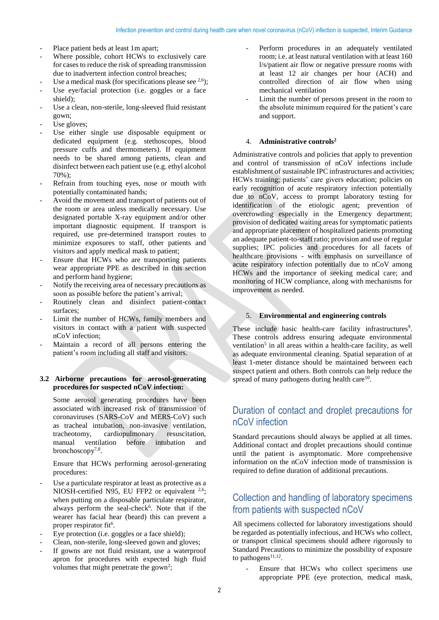- Place patient beds at least 1m apart;
- Where possible, cohort HCWs to exclusively care for cases to reduce the risk of spreading transmission due to inadvertent infection control breaches;
- Use a medical mask (for specifications please see  $^{2,6}$ );
- Use eye/facial protection (i.e. goggles or a face shield);
- Use a clean, non-sterile, long-sleeved fluid resistant gown;
- Use gloves:
- Use either single use disposable equipment or dedicated equipment (e.g. stethoscopes, blood pressure cuffs and thermometers). If equipment needs to be shared among patients, clean and disinfect between each patient use (e.g. ethyl alcohol  $70\%$ ).
- Refrain from touching eyes, nose or mouth with potentially contaminated hands;
- Avoid the movement and transport of patients out of the room or area unless medically necessary. Use designated portable X-ray equipment and/or other important diagnostic equipment. If transport is required, use pre-determined transport routes to minimize exposures to staff, other patients and visitors and apply medical mask to patient;
- Ensure that HCWs who are transporting patients wear appropriate PPE as described in this section and perform hand hygiene;
- Notify the receiving area of necessary precautions as soon as possible before the patient's arrival;
- Routinely clean and disinfect patient-contact surfaces;
- Limit the number of HCWs, family members and visitors in contact with a patient with suspected nCoV infection;
- Maintain a record of all persons entering the patient's room including all staff and visitors.

## **3.2 Airborne precautions for aerosol-generating procedures for suspected nCoV infection:**

Some aerosol generating procedures have been associated with increased risk of transmission of coronaviruses (SARS-CoV and MERS-CoV) such as tracheal intubation, non-invasive ventilation, tracheotomy, cardiopulmonary resuscitation, manual ventilation before intubation and bronchoscopy<sup>7,8</sup>.

Ensure that HCWs performing aerosol-generating procedures:

- Use a particulate respirator at least as protective as a NIOSH-certified N95, EU FFP2 or equivalent <sup>2,6</sup>; when putting on a disposable particulate respirator, always perform the seal-check<sup>6</sup>. Note that if the wearer has facial hear (beard) this can prevent a proper respirator fit<sup>6</sup>.
- Eye protection (i.e. goggles or a face shield);
- Clean, non-sterile, long-sleeved gown and gloves;
- If gowns are not fluid resistant, use a waterproof apron for procedures with expected high fluid volumes that might penetrate the gown<sup>2</sup>;
- Perform procedures in an adequately ventilated room; i.e. at least natural ventilation with at least 160 l/s/patient air flow or negative pressure rooms with at least 12 air changes per hour (ACH) and controlled direction of air flow when using mechanical ventilation
- Limit the number of persons present in the room to the absolute minimum required for the patient's care and support.

#### 4. **Administrative controls<sup>2</sup>**

Administrative controls and policies that apply to prevention and control of transmission of nCoV infections include establishment of sustainable IPC infrastructures and activities; HCWs training; patients' care givers education; policies on early recognition of acute respiratory infection potentially due to nCoV, access to prompt laboratory testing for identification of the etiologic agent; prevention of overcrowding especially in the Emergency department; provision of dedicated waiting areas for symptomatic patients and appropriate placement of hospitalized patients promoting an adequate patient-to-staff ratio; provision and use of regular supplies; IPC policies and procedures for all facets of healthcare provisions - with emphasis on surveillance of acute respiratory infection potentially due to nCoV among HCWs and the importance of seeking medical care; and monitoring of HCW compliance, along with mechanisms for improvement as needed.

#### 5. **Environmental and engineering controls**

These include basic health-care facility infrastructures<sup>9</sup>. These controls address ensuring adequate environmental ventilation<sup>5</sup> in all areas within a health-care facility, as well as adequate environmental cleaning. Spatial separation of at least 1-meter distance should be maintained between each suspect patient and others. Both controls can help reduce the spread of many pathogens during health care<sup>10</sup>.

# Duration of contact and droplet precautions for nCoV infection

Standard precautions should always be applied at all times. Additional contact and droplet precautions should continue until the patient is asymptomatic. More comprehensive information on the nCoV infection mode of transmission is required to define duration of additional precautions.

# Collection and handling of laboratory specimens from patients with suspected nCoV

All specimens collected for laboratory investigations should be regarded as potentially infectious, and HCWs who collect, or transport clinical specimens should adhere rigorously to Standard Precautions to minimize the possibility of exposure to pathogens $11,12$ .

Ensure that HCWs who collect specimens use appropriate PPE (eye protection, medical mask,